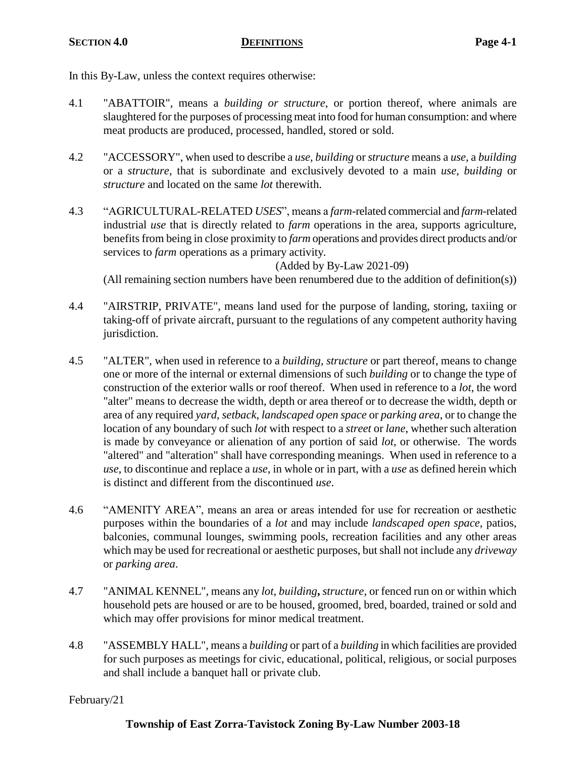In this By-Law, unless the context requires otherwise:

- 4.1 "ABATTOIR", means a *building or structure*, or portion thereof, where animals are slaughtered for the purposes of processing meat into food for human consumption: and where meat products are produced, processed, handled, stored or sold.
- 4.2 "ACCESSORY", when used to describe a *use*, *building* or *structure* means a *use*, a *building* or a *structure*, that is subordinate and exclusively devoted to a main *use*, *building* or *structure* and located on the same *lot* therewith.
- 4.3 "AGRICULTURAL-RELATED *USES*", means a *farm*-related commercial and *farm*-related industrial *use* that is directly related to *farm* operations in the area, supports agriculture, benefits from being in close proximity to *farm* operations and provides direct products and/or services to *farm* operations as a primary activity.

(Added by By-Law 2021-09)

(All remaining section numbers have been renumbered due to the addition of definition(s))

- 4.4 "AIRSTRIP, PRIVATE", means land used for the purpose of landing, storing, taxiing or taking-off of private aircraft, pursuant to the regulations of any competent authority having jurisdiction.
- 4.5 "ALTER", when used in reference to a *building*, *structure* or part thereof, means to change one or more of the internal or external dimensions of such *building* or to change the type of construction of the exterior walls or roof thereof. When used in reference to a *lot*, the word "alter" means to decrease the width, depth or area thereof or to decrease the width, depth or area of any required *yard*, *setback*, *landscaped open space* or *parking area*, or to change the location of any boundary of such *lot* with respect to a *street* or *lane*, whether such alteration is made by conveyance or alienation of any portion of said *lot*, or otherwise. The words "altered" and "alteration" shall have corresponding meanings. When used in reference to a *use*, to discontinue and replace a *use*, in whole or in part, with a *use* as defined herein which is distinct and different from the discontinued *use*.
- 4.6 "AMENITY AREA", means an area or areas intended for use for recreation or aesthetic purposes within the boundaries of a *lot* and may include *landscaped open space*, patios, balconies, communal lounges, swimming pools, recreation facilities and any other areas which may be used for recreational or aesthetic purposes, but shall not include any *driveway* or *parking area*.
- 4.7 "ANIMAL KENNEL", means any *lot*, *building***,** *structure*, or fenced run on or within which household pets are housed or are to be housed, groomed, bred, boarded, trained or sold and which may offer provisions for minor medical treatment.
- 4.8 "ASSEMBLY HALL", means a *building* or part of a *building* in which facilities are provided for such purposes as meetings for civic, educational, political, religious, or social purposes and shall include a banquet hall or private club.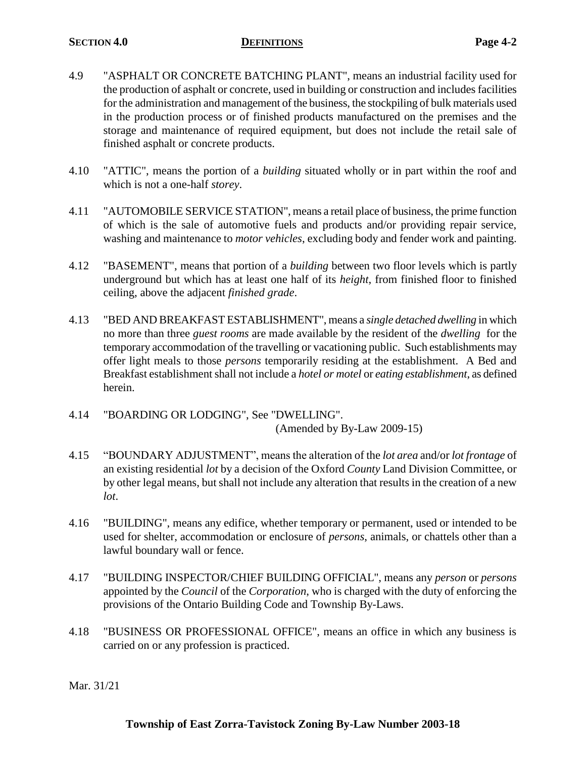- 4.9 "ASPHALT OR CONCRETE BATCHING PLANT", means an industrial facility used for the production of asphalt or concrete, used in building or construction and includes facilities for the administration and management of the business, the stockpiling of bulk materials used in the production process or of finished products manufactured on the premises and the storage and maintenance of required equipment, but does not include the retail sale of finished asphalt or concrete products.
- 4.10 "ATTIC", means the portion of a *building* situated wholly or in part within the roof and which is not a one-half *storey*.
- 4.11 "AUTOMOBILE SERVICE STATION", means a retail place of business, the prime function of which is the sale of automotive fuels and products and/or providing repair service, washing and maintenance to *motor vehicles*, excluding body and fender work and painting.
- 4.12 "BASEMENT", means that portion of a *building* between two floor levels which is partly underground but which has at least one half of its *height*, from finished floor to finished ceiling, above the adjacent *finished grade*.
- 4.13 "BED AND BREAKFAST ESTABLISHMENT", means a *single detached dwelling* in which no more than three *guest rooms* are made available by the resident of the *dwelling* for the temporary accommodation of the travelling or vacationing public. Such establishments may offer light meals to those *persons* temporarily residing at the establishment. A Bed and Breakfast establishment shall not include a *hotel or motel* or *eating establishment*, as defined herein.
- 4.14 "BOARDING OR LODGING", See "DWELLING". (Amended by By-Law 2009-15)
- 4.15 "BOUNDARY ADJUSTMENT", means the alteration of the *lot area* and/or *lot frontage* of an existing residential *lot* by a decision of the Oxford *County* Land Division Committee, or by other legal means, but shall not include any alteration that results in the creation of a new *lot*.
- 4.16 "BUILDING", means any edifice, whether temporary or permanent, used or intended to be used for shelter, accommodation or enclosure of *persons*, animals, or chattels other than a lawful boundary wall or fence.
- 4.17 "BUILDING INSPECTOR/CHIEF BUILDING OFFICIAL", means any *person* or *persons* appointed by the *Council* of the *Corporation*, who is charged with the duty of enforcing the provisions of the Ontario Building Code and Township By-Laws.
- 4.18 "BUSINESS OR PROFESSIONAL OFFICE", means an office in which any business is carried on or any profession is practiced.

Mar. 31/21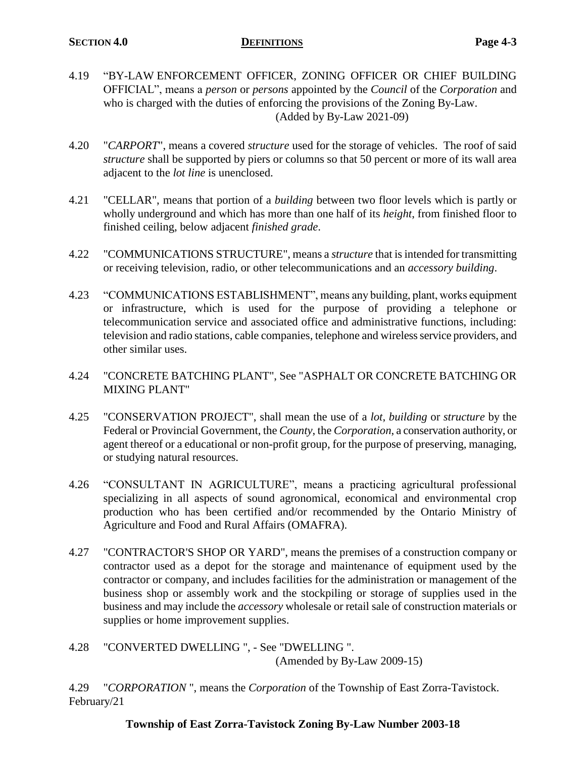- 4.19 "BY-LAW ENFORCEMENT OFFICER, ZONING OFFICER OR CHIEF BUILDING OFFICIAL", means a *person* or *persons* appointed by the *Council* of the *Corporation* and who is charged with the duties of enforcing the provisions of the Zoning By-Law. (Added by By-Law 2021-09)
- 4.20 "*CARPORT*", means a covered *structure* used for the storage of vehicles. The roof of said *structure* shall be supported by piers or columns so that 50 percent or more of its wall area adjacent to the *lot line* is unenclosed.
- 4.21 "CELLAR", means that portion of a *building* between two floor levels which is partly or wholly underground and which has more than one half of its *height*, from finished floor to finished ceiling, below adjacent *finished grade*.
- 4.22 "COMMUNICATIONS STRUCTURE", means a *structure* that is intended for transmitting or receiving television, radio, or other telecommunications and an *accessory building*.
- 4.23 "COMMUNICATIONS ESTABLISHMENT", means any building, plant, works equipment or infrastructure, which is used for the purpose of providing a telephone or telecommunication service and associated office and administrative functions, including: television and radio stations, cable companies, telephone and wireless service providers, and other similar uses.
- 4.24 "CONCRETE BATCHING PLANT", See "ASPHALT OR CONCRETE BATCHING OR MIXING PLANT"
- 4.25 "CONSERVATION PROJECT", shall mean the use of a *lot*, *building* or *structure* by the Federal or Provincial Government, the *County*, the *Corporation*, a conservation authority, or agent thereof or a educational or non-profit group, for the purpose of preserving, managing, or studying natural resources.
- 4.26 "CONSULTANT IN AGRICULTURE", means a practicing agricultural professional specializing in all aspects of sound agronomical, economical and environmental crop production who has been certified and/or recommended by the Ontario Ministry of Agriculture and Food and Rural Affairs (OMAFRA).
- 4.27 "CONTRACTOR'S SHOP OR YARD", means the premises of a construction company or contractor used as a depot for the storage and maintenance of equipment used by the contractor or company, and includes facilities for the administration or management of the business shop or assembly work and the stockpiling or storage of supplies used in the business and may include the *accessory* wholesale or retail sale of construction materials or supplies or home improvement supplies.
- 4.28 "CONVERTED DWELLING ", See "DWELLING ". (Amended by By-Law 2009-15)

4.29 "*CORPORATION* ", means the *Corporation* of the Township of East Zorra-Tavistock. February/21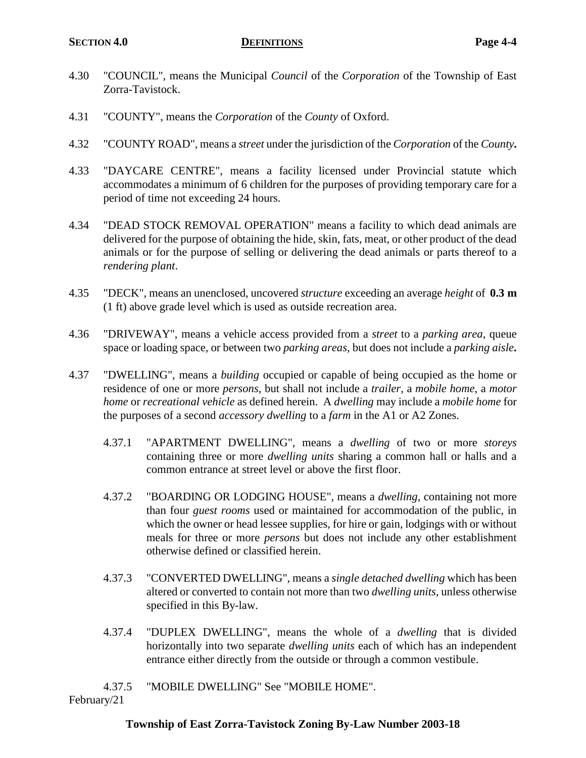- 4.30 "COUNCIL", means the Municipal *Council* of the *Corporation* of the Township of East Zorra-Tavistock.
- 4.31 "COUNTY", means the *Corporation* of the *County* of Oxford.
- 4.32 "COUNTY ROAD", means a *street* under the jurisdiction of the *Corporation* of the *County***.**
- 4.33 "DAYCARE CENTRE", means a facility licensed under Provincial statute which accommodates a minimum of 6 children for the purposes of providing temporary care for a period of time not exceeding 24 hours.
- 4.34 "DEAD STOCK REMOVAL OPERATION" means a facility to which dead animals are delivered for the purpose of obtaining the hide, skin, fats, meat, or other product of the dead animals or for the purpose of selling or delivering the dead animals or parts thereof to a *rendering plant*.
- 4.35 "DECK", means an unenclosed, uncovered *structure* exceeding an average *height* of **0.3 m** (1 ft) above grade level which is used as outside recreation area.
- 4.36 "DRIVEWAY", means a vehicle access provided from a *street* to a *parking area*, queue space or loading space, or between two *parking areas*, but does not include a *parking aisle***.**
- 4.37 "DWELLING", means a *building* occupied or capable of being occupied as the home or residence of one or more *persons*, but shall not include a *trailer*, a *mobile home*, a *motor home* or *recreational vehicle* as defined herein. A *dwelling* may include a *mobile home* for the purposes of a second *accessory dwelling* to a *farm* in the A1 or A2 Zones.
	- 4.37.1 "APARTMENT DWELLING", means a *dwelling* of two or more *storeys* containing three or more *dwelling units* sharing a common hall or halls and a common entrance at street level or above the first floor.
	- 4.37.2 "BOARDING OR LODGING HOUSE", means a *dwelling*, containing not more than four *guest rooms* used or maintained for accommodation of the public, in which the owner or head lessee supplies, for hire or gain, lodgings with or without meals for three or more *persons* but does not include any other establishment otherwise defined or classified herein.
	- 4.37.3 "CONVERTED DWELLING", means a *single detached dwelling* which has been altered or converted to contain not more than two *dwelling units*, unless otherwise specified in this By-law.
	- 4.37.4 "DUPLEX DWELLING", means the whole of a *dwelling* that is divided horizontally into two separate *dwelling units* each of which has an independent entrance either directly from the outside or through a common vestibule.
	- 4.37.5 "MOBILE DWELLING" See "MOBILE HOME".

February/21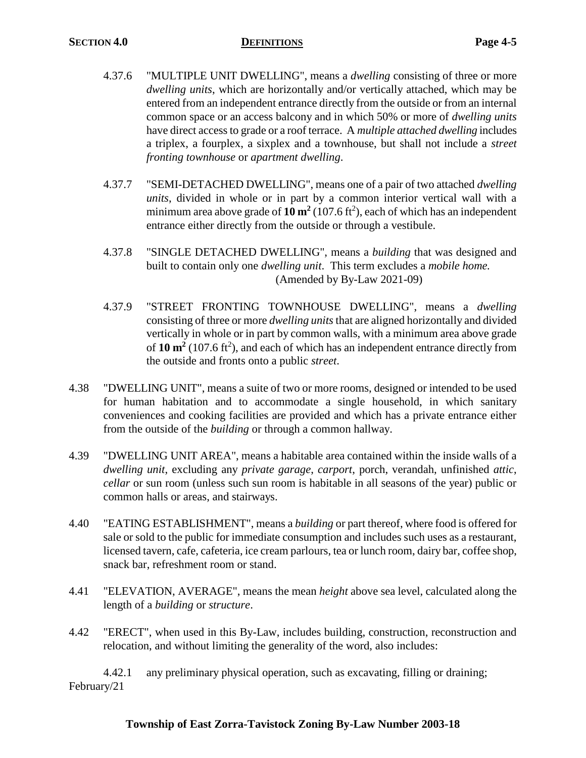- 4.37.6 "MULTIPLE UNIT DWELLING", means a *dwelling* consisting of three or more *dwelling units*, which are horizontally and/or vertically attached, which may be entered from an independent entrance directly from the outside or from an internal common space or an access balcony and in which 50% or more of *dwelling units*  have direct access to grade or a roof terrace. A *multiple attached dwelling* includes a triplex, a fourplex, a sixplex and a townhouse, but shall not include a *street fronting townhouse* or *apartment dwelling*.
- 4.37.7 "SEMI-DETACHED DWELLING", means one of a pair of two attached *dwelling units*, divided in whole or in part by a common interior vertical wall with a minimum area above grade of  $10 \text{ m}^2$  (107.6 ft<sup>2</sup>), each of which has an independent entrance either directly from the outside or through a vestibule.
- 4.37.8 "SINGLE DETACHED DWELLING", means a *building* that was designed and built to contain only one *dwelling unit*. This term excludes a *mobile home.* (Amended by By-Law 2021-09)
- 4.37.9 "STREET FRONTING TOWNHOUSE DWELLING", means a *dwelling*  consisting of three or more *dwelling units* that are aligned horizontally and divided vertically in whole or in part by common walls, with a minimum area above grade of  $10 \text{ m}^2$  (107.6 ft<sup>2</sup>), and each of which has an independent entrance directly from the outside and fronts onto a public *street*.
- 4.38 "DWELLING UNIT", means a suite of two or more rooms, designed or intended to be used for human habitation and to accommodate a single household, in which sanitary conveniences and cooking facilities are provided and which has a private entrance either from the outside of the *building* or through a common hallway.
- 4.39 "DWELLING UNIT AREA", means a habitable area contained within the inside walls of a *dwelling unit*, excluding any *private garage*, *carport*, porch, verandah, unfinished *attic*, *cellar* or sun room (unless such sun room is habitable in all seasons of the year) public or common halls or areas, and stairways.
- 4.40 "EATING ESTABLISHMENT", means a *building* or part thereof, where food is offered for sale or sold to the public for immediate consumption and includes such uses as a restaurant, licensed tavern, cafe, cafeteria, ice cream parlours, tea or lunch room, dairy bar, coffee shop, snack bar, refreshment room or stand.
- 4.41 "ELEVATION, AVERAGE", means the mean *height* above sea level, calculated along the length of a *building* or *structure*.
- 4.42 "ERECT", when used in this By-Law, includes building, construction, reconstruction and relocation, and without limiting the generality of the word, also includes:

4.42.1 any preliminary physical operation, such as excavating, filling or draining; February/21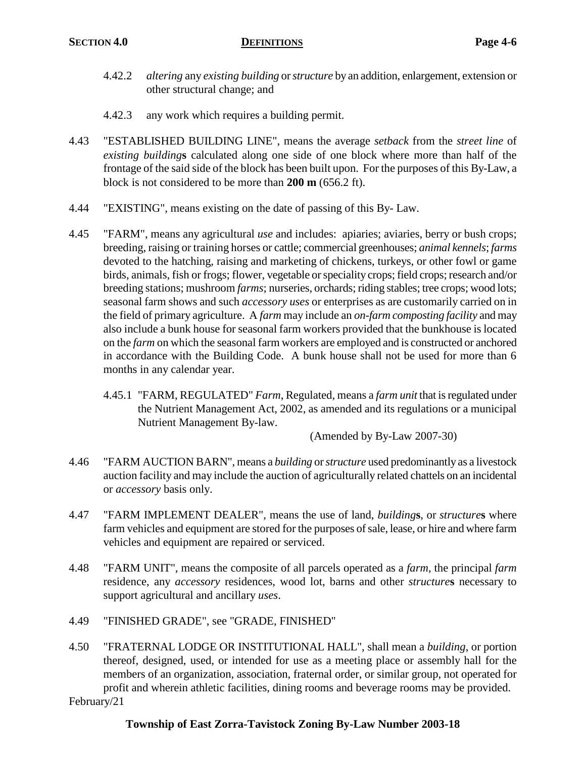- 4.42.2 *altering* any *existing building* or *structure* by an addition, enlargement, extension or other structural change; and
- 4.42.3 any work which requires a building permit.
- 4.43 "ESTABLISHED BUILDING LINE", means the average *setback* from the *street line* of *existing building***s** calculated along one side of one block where more than half of the frontage of the said side of the block has been built upon. For the purposes of this By-Law, a block is not considered to be more than **200 m** (656.2 ft).
- 4.44 "EXISTING", means existing on the date of passing of this By- Law.
- 4.45 "FARM", means any agricultural *use* and includes: apiaries; aviaries, berry or bush crops; breeding, raising or training horses or cattle; commercial greenhouses; *animal kennels*; *farms* devoted to the hatching, raising and marketing of chickens, turkeys, or other fowl or game birds, animals, fish or frogs; flower, vegetable or speciality crops; field crops; research and/or breeding stations; mushroom *farms*; nurseries, orchards; riding stables; tree crops; wood lots; seasonal farm shows and such *accessory uses* or enterprises as are customarily carried on in the field of primary agriculture. A *farm* may include an *on-farm composting facility* and may also include a bunk house for seasonal farm workers provided that the bunkhouse is located on the *farm* on which the seasonal farm workers are employed and is constructed or anchored in accordance with the Building Code. A bunk house shall not be used for more than 6 months in any calendar year.
	- 4.45.1 "FARM, REGULATED" *Farm*, Regulated, means a *farm unit* that is regulated under the Nutrient Management Act, 2002, as amended and its regulations or a municipal Nutrient Management By-law.

(Amended by By-Law 2007-30)

- 4.46 "FARM AUCTION BARN", means a *building* or *structure* used predominantly as a livestock auction facility and may include the auction of agriculturally related chattels on an incidental or *accessory* basis only.
- 4.47 "FARM IMPLEMENT DEALER", means the use of land, *building***s**, or *structure***s** where farm vehicles and equipment are stored for the purposes of sale, lease, or hire and where farm vehicles and equipment are repaired or serviced.
- 4.48 "FARM UNIT", means the composite of all parcels operated as a *farm*, the principal *farm* residence, any *accessory* residences, wood lot, barns and other *structure***s** necessary to support agricultural and ancillary *uses*.
- 4.49 "FINISHED GRADE", see "GRADE, FINISHED"
- 4.50 "FRATERNAL LODGE OR INSTITUTIONAL HALL", shall mean a *building*, or portion thereof, designed, used, or intended for use as a meeting place or assembly hall for the members of an organization, association, fraternal order, or similar group, not operated for profit and wherein athletic facilities, dining rooms and beverage rooms may be provided.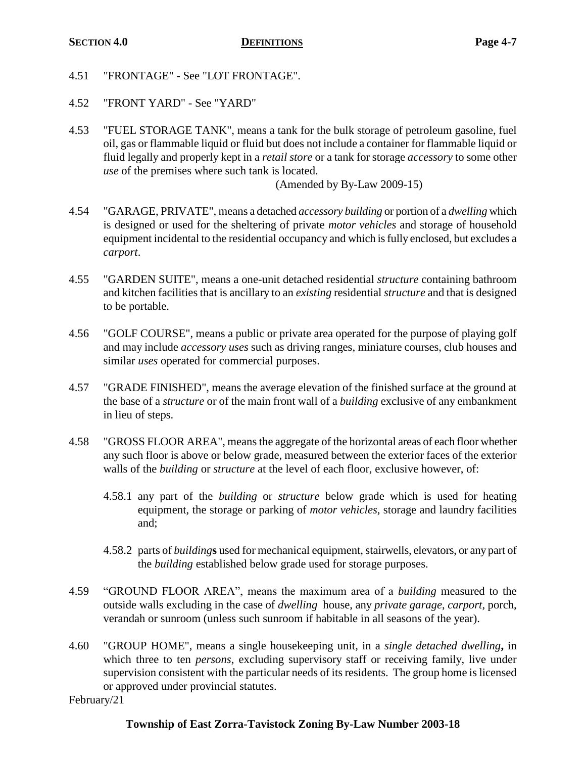- 4.51 "FRONTAGE" See "LOT FRONTAGE".
- 4.52 "FRONT YARD" See "YARD"
- 4.53 "FUEL STORAGE TANK", means a tank for the bulk storage of petroleum gasoline, fuel oil, gas or flammable liquid or fluid but does not include a container for flammable liquid or fluid legally and properly kept in a *retail store* or a tank for storage *accessory* to some other *use* of the premises where such tank is located.

(Amended by By-Law 2009-15)

- 4.54 "GARAGE, PRIVATE", means a detached *accessory building* or portion of a *dwelling* which is designed or used for the sheltering of private *motor vehicles* and storage of household equipment incidental to the residential occupancy and which is fully enclosed, but excludes a *carport*.
- 4.55 "GARDEN SUITE", means a one-unit detached residential *structure* containing bathroom and kitchen facilities that is ancillary to an *existing* residential *structure* and that is designed to be portable.
- 4.56 "GOLF COURSE", means a public or private area operated for the purpose of playing golf and may include *accessory uses* such as driving ranges, miniature courses, club houses and similar *uses* operated for commercial purposes.
- 4.57 "GRADE FINISHED", means the average elevation of the finished surface at the ground at the base of a *structure* or of the main front wall of a *building* exclusive of any embankment in lieu of steps.
- 4.58 "GROSS FLOOR AREA", means the aggregate of the horizontal areas of each floor whether any such floor is above or below grade, measured between the exterior faces of the exterior walls of the *building* or *structure* at the level of each floor, exclusive however, of:
	- 4.58.1 any part of the *building* or *structure* below grade which is used for heating equipment, the storage or parking of *motor vehicles*, storage and laundry facilities and;
	- 4.58.2 parts of *building***s** used for mechanical equipment, stairwells, elevators, or any part of the *building* established below grade used for storage purposes.
- 4.59 "GROUND FLOOR AREA", means the maximum area of a *building* measured to the outside walls excluding in the case of *dwelling* house, any *private garage*, *carport*, porch, verandah or sunroom (unless such sunroom if habitable in all seasons of the year).
- 4.60 "GROUP HOME", means a single housekeeping unit, in a *single detached dwelling***,** in which three to ten *persons*, excluding supervisory staff or receiving family, live under supervision consistent with the particular needs of its residents. The group home is licensed or approved under provincial statutes.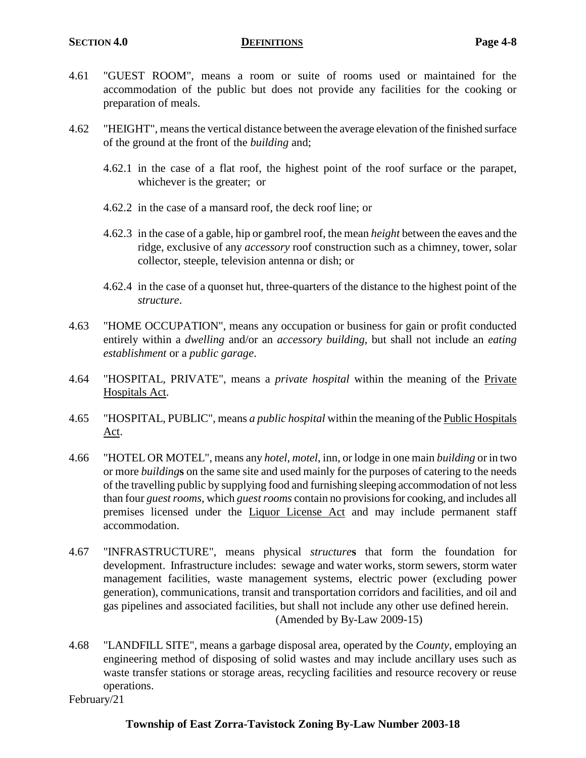- 4.61 "GUEST ROOM", means a room or suite of rooms used or maintained for the accommodation of the public but does not provide any facilities for the cooking or preparation of meals.
- 4.62 "HEIGHT", means the vertical distance between the average elevation of the finished surface of the ground at the front of the *building* and;
	- 4.62.1 in the case of a flat roof, the highest point of the roof surface or the parapet, whichever is the greater; or
	- 4.62.2 in the case of a mansard roof, the deck roof line; or
	- 4.62.3 in the case of a gable, hip or gambrel roof, the mean *height* between the eaves and the ridge, exclusive of any *accessory* roof construction such as a chimney, tower, solar collector, steeple, television antenna or dish; or
	- 4.62.4 in the case of a quonset hut, three-quarters of the distance to the highest point of the *structure*.
- 4.63 "HOME OCCUPATION", means any occupation or business for gain or profit conducted entirely within a *dwelling* and/or an *accessory building*, but shall not include an *eating establishment* or a *public garage*.
- 4.64 "HOSPITAL, PRIVATE", means a *private hospital* within the meaning of the Private Hospitals Act.
- 4.65 "HOSPITAL, PUBLIC", means *a public hospital* within the meaning of the Public Hospitals Act.
- 4.66 "HOTEL OR MOTEL", means any *hotel*, *motel*, inn, or lodge in one main *building* or in two or more *building***s** on the same site and used mainly for the purposes of catering to the needs of the travelling public by supplying food and furnishing sleeping accommodation of not less than four *guest rooms*, which *guest rooms* contain no provisions for cooking, and includes all premises licensed under the Liquor License Act and may include permanent staff accommodation.
- 4.67 "INFRASTRUCTURE", means physical *structure***s** that form the foundation for development. Infrastructure includes: sewage and water works, storm sewers, storm water management facilities, waste management systems, electric power (excluding power generation), communications, transit and transportation corridors and facilities, and oil and gas pipelines and associated facilities, but shall not include any other use defined herein. (Amended by By-Law 2009-15)
- 4.68 "LANDFILL SITE", means a garbage disposal area, operated by the *County*, employing an engineering method of disposing of solid wastes and may include ancillary uses such as waste transfer stations or storage areas, recycling facilities and resource recovery or reuse operations.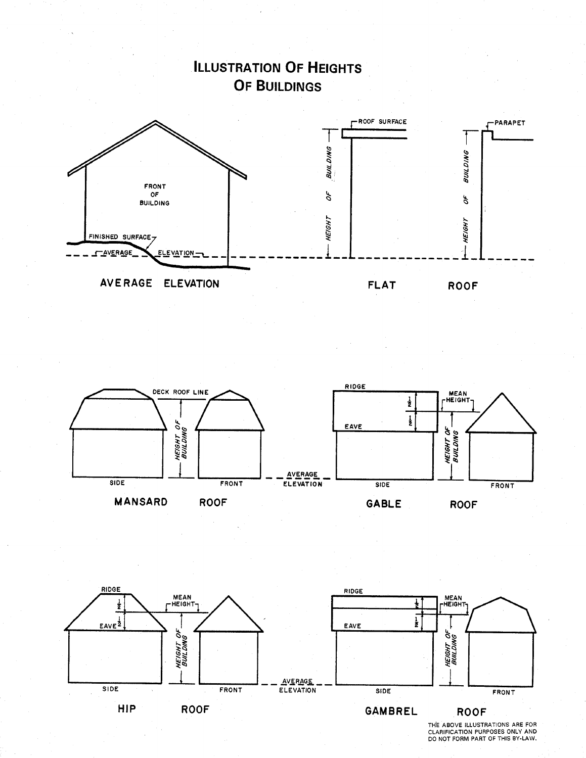

**ILLUSTRATION OF HEIGHTS** 





THE ABOVE ILLUSTRATIONS ARE FOR<br>CLARIFICATION PURPOSES ONLY AND<br>DO NOT FORM PART OF THIS BY-LAW.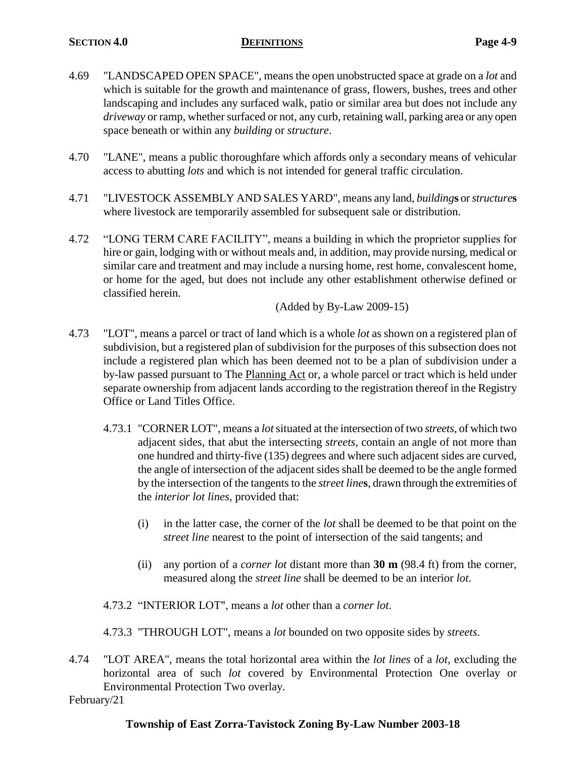- 4.69 "LANDSCAPED OPEN SPACE", means the open unobstructed space at grade on a *lot* and which is suitable for the growth and maintenance of grass, flowers, bushes, trees and other landscaping and includes any surfaced walk, patio or similar area but does not include any *driveway* or ramp, whether surfaced or not, any curb, retaining wall, parking area or any open space beneath or within any *building* or *structure*.
- 4.70 "LANE", means a public thoroughfare which affords only a secondary means of vehicular access to abutting *lots* and which is not intended for general traffic circulation.
- 4.71 "LIVESTOCK ASSEMBLY AND SALES YARD", means any land, *building***s** or *structure***s** where livestock are temporarily assembled for subsequent sale or distribution.
- 4.72 "LONG TERM CARE FACILITY", means a building in which the proprietor supplies for hire or gain, lodging with or without meals and, in addition, may provide nursing, medical or similar care and treatment and may include a nursing home, rest home, convalescent home, or home for the aged, but does not include any other establishment otherwise defined or classified herein.

(Added by By-Law 2009-15)

- 4.73 "LOT", means a parcel or tract of land which is a whole *lot* as shown on a registered plan of subdivision, but a registered plan of subdivision for the purposes of this subsection does not include a registered plan which has been deemed not to be a plan of subdivision under a by-law passed pursuant to The Planning Act or, a whole parcel or tract which is held under separate ownership from adjacent lands according to the registration thereof in the Registry Office or Land Titles Office.
	- 4.73.1 "CORNER LOT", means a *lot*situated at the intersection of two *streets*, of which two adjacent sides, that abut the intersecting *streets*, contain an angle of not more than one hundred and thirty-five (135) degrees and where such adjacent sides are curved, the angle of intersection of the adjacent sides shall be deemed to be the angle formed by the intersection of the tangents to the *street line***s**, drawn through the extremities of the *interior lot lines*, provided that:
		- (i) in the latter case, the corner of the *lot* shall be deemed to be that point on the *street line* nearest to the point of intersection of the said tangents; and
		- (ii) any portion of a *corner lot* distant more than **30 m** (98.4 ft) from the corner, measured along the *street line* shall be deemed to be an interior *lot*.
	- 4.73.2 "INTERIOR LOT", means a *lot* other than a *corner lot*.
	- 4.73.3 "THROUGH LOT", means a *lot* bounded on two opposite sides by *streets*.
- 4.74 "LOT AREA", means the total horizontal area within the *lot lines* of a *lot*, excluding the horizontal area of such *lot* covered by Environmental Protection One overlay or Environmental Protection Two overlay.

February/21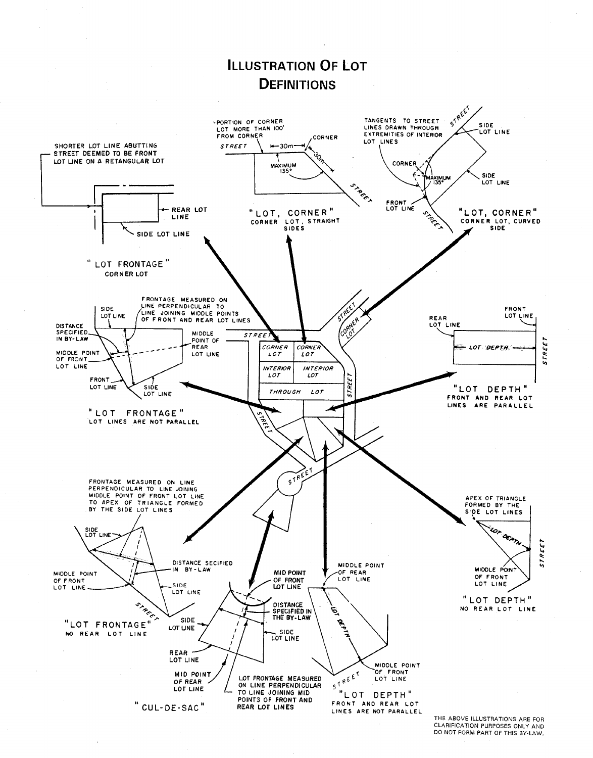

CLARIFICATION PURPOSES ONLY AND DO NOT FORM PART OF THIS BY-LAW.

# **ILLUSTRATION OF LOT**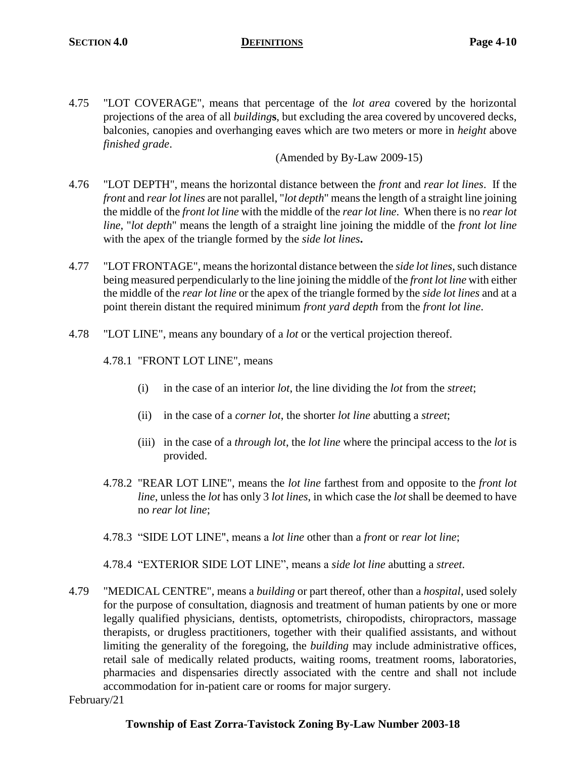4.75 "LOT COVERAGE", means that percentage of the *lot area* covered by the horizontal projections of the area of all *building***s**, but excluding the area covered by uncovered decks, balconies, canopies and overhanging eaves which are two meters or more in *height* above *finished grade*.

(Amended by By-Law 2009-15)

- 4.76 "LOT DEPTH", means the horizontal distance between the *front* and *rear lot lines*. If the *front* and *rear lot lines* are not parallel, "*lot depth*" means the length of a straight line joining the middle of the *front lot line* with the middle of the *rear lot line*. When there is no *rear lot line*, "*lot depth*" means the length of a straight line joining the middle of the *front lot line* with the apex of the triangle formed by the *side lot lines***.**
- 4.77 "LOT FRONTAGE", means the horizontal distance between the *side lot lines*, such distance being measured perpendicularly to the line joining the middle of the *front lot line* with either the middle of the *rear lot line* or the apex of the triangle formed by the *side lot lines* and at a point therein distant the required minimum *front yard depth* from the *front lot line*.
- 4.78 "LOT LINE", means any boundary of a *lot* or the vertical projection thereof.
	- 4.78.1 "FRONT LOT LINE", means
		- (i) in the case of an interior *lot*, the line dividing the *lot* from the *street*;
		- (ii) in the case of a *corner lot*, the shorter *lot line* abutting a *street*;
		- (iii) in the case of a *through lot*, the *lot line* where the principal access to the *lot* is provided.
	- 4.78.2 "REAR LOT LINE", means the *lot line* farthest from and opposite to the *front lot line*, unless the *lot* has only 3 *lot lines*, in which case the *lot* shall be deemed to have no *rear lot line*;
	- 4.78.3 "SIDE LOT LINE", means a *lot line* other than a *front* or *rear lot line*;

4.78.4 "EXTERIOR SIDE LOT LINE", means a *side lot line* abutting a *street*.

4.79 "MEDICAL CENTRE", means a *building* or part thereof, other than a *hospital*, used solely for the purpose of consultation, diagnosis and treatment of human patients by one or more legally qualified physicians, dentists, optometrists, chiropodists, chiropractors, massage therapists, or drugless practitioners, together with their qualified assistants, and without limiting the generality of the foregoing, the *building* may include administrative offices, retail sale of medically related products, waiting rooms, treatment rooms, laboratories, pharmacies and dispensaries directly associated with the centre and shall not include accommodation for in-patient care or rooms for major surgery.

February/21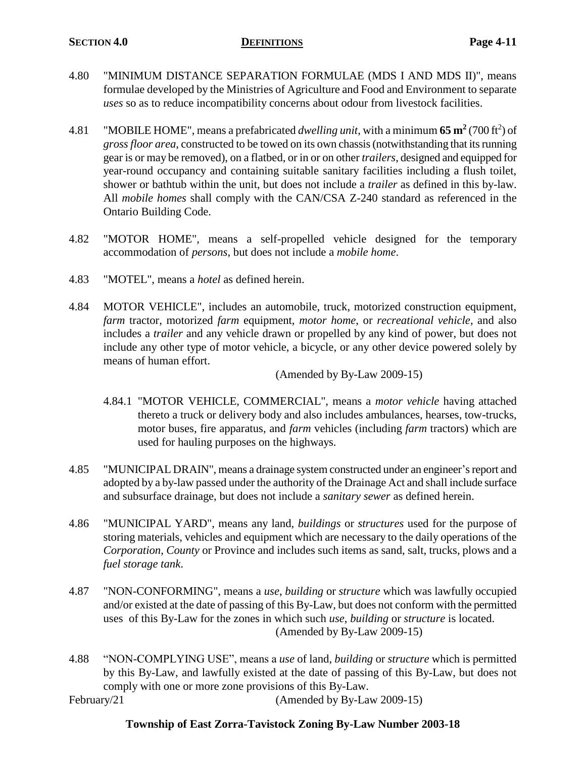- 4.80 "MINIMUM DISTANCE SEPARATION FORMULAE (MDS I AND MDS II)", means formulae developed by the Ministries of Agriculture and Food and Environment to separate *uses* so as to reduce incompatibility concerns about odour from livestock facilities.
- 4.81 "MOBILE HOME", means a prefabricated *dwelling unit*, with a minimum  $65 \text{ m}^2$  (700 ft<sup>2</sup>) of *gross floor area*, constructed to be towed on its own chassis (notwithstanding that its running gear is or may be removed), on a flatbed, or in or on other *trailers*, designed and equipped for year-round occupancy and containing suitable sanitary facilities including a flush toilet, shower or bathtub within the unit, but does not include a *trailer* as defined in this by-law. All *mobile homes* shall comply with the CAN/CSA Z-240 standard as referenced in the Ontario Building Code.
- 4.82 "MOTOR HOME", means a self-propelled vehicle designed for the temporary accommodation of *persons*, but does not include a *mobile home*.
- 4.83 "MOTEL", means a *hotel* as defined herein.
- 4.84 MOTOR VEHICLE", includes an automobile, truck, motorized construction equipment, *farm* tractor, motorized *farm* equipment, *motor home*, or *recreational vehicle*, and also includes a *trailer* and any vehicle drawn or propelled by any kind of power, but does not include any other type of motor vehicle, a bicycle, or any other device powered solely by means of human effort.

(Amended by By-Law 2009-15)

- 4.84.1 "MOTOR VEHICLE, COMMERCIAL", means a *motor vehicle* having attached thereto a truck or delivery body and also includes ambulances, hearses, tow-trucks, motor buses, fire apparatus, and *farm* vehicles (including *farm* tractors) which are used for hauling purposes on the highways.
- 4.85 "MUNICIPAL DRAIN", means a drainage system constructed under an engineer's report and adopted by a by-law passed under the authority of the Drainage Act and shall include surface and subsurface drainage, but does not include a *sanitary sewer* as defined herein.
- 4.86 "MUNICIPAL YARD", means any land, *buildings* or *structures* used for the purpose of storing materials, vehicles and equipment which are necessary to the daily operations of the *Corporation*, *County* or Province and includes such items as sand, salt, trucks, plows and a *fuel storage tank*.
- 4.87 "NON-CONFORMING", means a *use*, *building* or *structure* which was lawfully occupied and/or existed at the date of passing of this By-Law, but does not conform with the permitted uses of this By-Law for the zones in which such *use*, *building* or *structure* is located. (Amended by By-Law 2009-15)
- 4.88 "NON-COMPLYING USE", means a *use* of land, *building* or *structure* which is permitted by this By-Law, and lawfully existed at the date of passing of this By-Law, but does not comply with one or more zone provisions of this By-Law.

February/21 (Amended by By-Law 2009-15)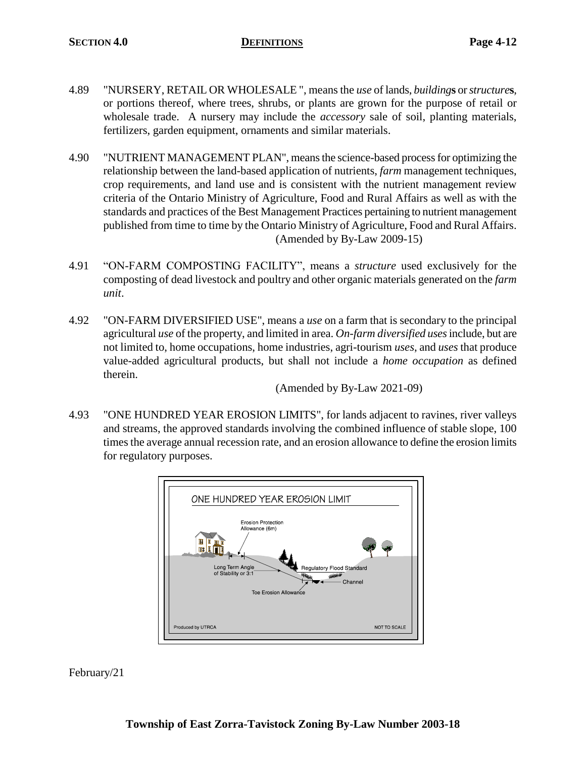- 4.89 "NURSERY, RETAIL OR WHOLESALE ", means the *use* of lands, *building***s** or *structure***s**, or portions thereof, where trees, shrubs, or plants are grown for the purpose of retail or wholesale trade. A nursery may include the *accessory* sale of soil, planting materials, fertilizers, garden equipment, ornaments and similar materials.
- 4.90 "NUTRIENT MANAGEMENT PLAN", means the science-based process for optimizing the relationship between the land-based application of nutrients, *farm* management techniques, crop requirements, and land use and is consistent with the nutrient management review criteria of the Ontario Ministry of Agriculture, Food and Rural Affairs as well as with the standards and practices of the Best Management Practices pertaining to nutrient management published from time to time by the Ontario Ministry of Agriculture, Food and Rural Affairs. (Amended by By-Law 2009-15)
- 4.91 "ON-FARM COMPOSTING FACILITY", means a *structure* used exclusively for the composting of dead livestock and poultry and other organic materials generated on the *farm unit*.
- 4.92 "ON-FARM DIVERSIFIED USE", means a *use* on a farm that is secondary to the principal agricultural *use* of the property, and limited in area. *On-farm diversified uses*include, but are not limited to, home occupations, home industries, agri-tourism *uses*, and *uses* that produce value-added agricultural products, but shall not include a *home occupation* as defined therein.

(Amended by By-Law 2021-09)

4.93 "ONE HUNDRED YEAR EROSION LIMITS", for lands adjacent to ravines, river valleys and streams, the approved standards involving the combined influence of stable slope, 100 times the average annual recession rate, and an erosion allowance to define the erosion limits for regulatory purposes.

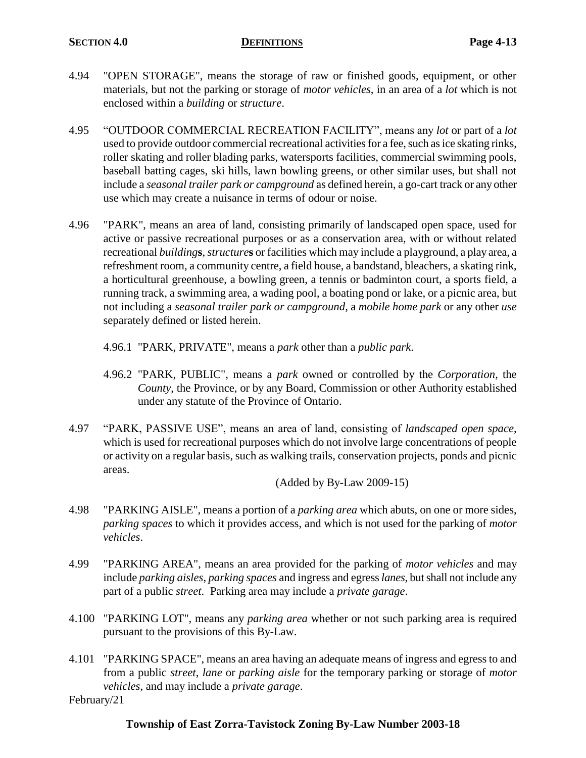- 4.94 "OPEN STORAGE", means the storage of raw or finished goods, equipment, or other materials, but not the parking or storage of *motor vehicles*, in an area of a *lot* which is not enclosed within a *building* or *structure*.
- 4.95 "OUTDOOR COMMERCIAL RECREATION FACILITY", means any *lot* or part of a *lot* used to provide outdoor commercial recreational activities for a fee, such as ice skating rinks, roller skating and roller blading parks, watersports facilities, commercial swimming pools, baseball batting cages, ski hills, lawn bowling greens, or other similar uses, but shall not include a *seasonal trailer park or campground* as defined herein, a go-cart track or any other use which may create a nuisance in terms of odour or noise.
- 4.96 "PARK", means an area of land, consisting primarily of landscaped open space, used for active or passive recreational purposes or as a conservation area, with or without related recreational *building***s**, *structure***s** or facilities which may include a playground, a play area, a refreshment room, a community centre, a field house, a bandstand, bleachers, a skating rink, a horticultural greenhouse, a bowling green, a tennis or badminton court, a sports field, a running track, a swimming area, a wading pool, a boating pond or lake, or a picnic area, but not including a *seasonal trailer park or campground*, a *mobile home park* or any other *use* separately defined or listed herein.
	- 4.96.1 "PARK, PRIVATE", means a *park* other than a *public park*.
	- 4.96.2 "PARK, PUBLIC", means a *park* owned or controlled by the *Corporation*, the *County*, the Province, or by any Board, Commission or other Authority established under any statute of the Province of Ontario.
- 4.97 "PARK, PASSIVE USE", means an area of land, consisting of *landscaped open space*, which is used for recreational purposes which do not involve large concentrations of people or activity on a regular basis, such as walking trails, conservation projects, ponds and picnic areas.

(Added by By-Law 2009-15)

- 4.98 "PARKING AISLE", means a portion of a *parking area* which abuts, on one or more sides, *parking spaces* to which it provides access, and which is not used for the parking of *motor vehicles*.
- 4.99 "PARKING AREA", means an area provided for the parking of *motor vehicles* and may include *parking aisles*, *parking spaces* and ingress and egress*lanes*, but shall not include any part of a public *street*. Parking area may include a *private garage*.
- 4.100 "PARKING LOT", means any *parking area* whether or not such parking area is required pursuant to the provisions of this By-Law.
- 4.101 "PARKING SPACE", means an area having an adequate means of ingress and egress to and from a public *street*, *lane* or *parking aisle* for the temporary parking or storage of *motor vehicles*, and may include a *private garage*.

February/21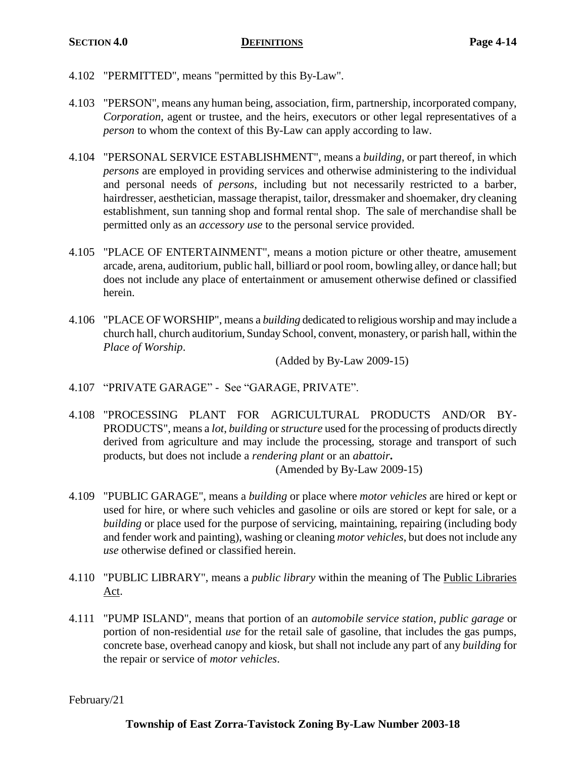- 4.102 "PERMITTED", means "permitted by this By-Law".
- 4.103 "PERSON", means any human being, association, firm, partnership, incorporated company, *Corporation*, agent or trustee, and the heirs, executors or other legal representatives of a *person* to whom the context of this By-Law can apply according to law.
- 4.104 "PERSONAL SERVICE ESTABLISHMENT", means a *building*, or part thereof, in which *persons* are employed in providing services and otherwise administering to the individual and personal needs of *persons*, including but not necessarily restricted to a barber, hairdresser, aesthetician, massage therapist, tailor, dressmaker and shoemaker, dry cleaning establishment, sun tanning shop and formal rental shop. The sale of merchandise shall be permitted only as an *accessory use* to the personal service provided.
- 4.105 "PLACE OF ENTERTAINMENT", means a motion picture or other theatre, amusement arcade, arena, auditorium, public hall, billiard or pool room, bowling alley, or dance hall; but does not include any place of entertainment or amusement otherwise defined or classified herein.
- 4.106 "PLACE OF WORSHIP", means a *building* dedicated to religious worship and may include a church hall, church auditorium, Sunday School, convent, monastery, or parish hall, within the *Place of Worship*.

(Added by By-Law 2009-15)

- 4.107 "PRIVATE GARAGE" See "GARAGE, PRIVATE".
- 4.108 "PROCESSING PLANT FOR AGRICULTURAL PRODUCTS AND/OR BY-PRODUCTS", means a *lot*, *building* or *structure* used for the processing of products directly derived from agriculture and may include the processing, storage and transport of such products, but does not include a *rendering plant* or an *abattoir***.** (Amended by By-Law 2009-15)
- 4.109 "PUBLIC GARAGE", means a *building* or place where *motor vehicles* are hired or kept or used for hire, or where such vehicles and gasoline or oils are stored or kept for sale, or a *building* or place used for the purpose of servicing, maintaining, repairing (including body and fender work and painting), washing or cleaning *motor vehicles*, but does not include any *use* otherwise defined or classified herein.
- 4.110 "PUBLIC LIBRARY", means a *public library* within the meaning of The Public Libraries Act.
- 4.111 "PUMP ISLAND", means that portion of an *automobile service station*, *public garage* or portion of non-residential *use* for the retail sale of gasoline, that includes the gas pumps, concrete base, overhead canopy and kiosk, but shall not include any part of any *building* for the repair or service of *motor vehicles*.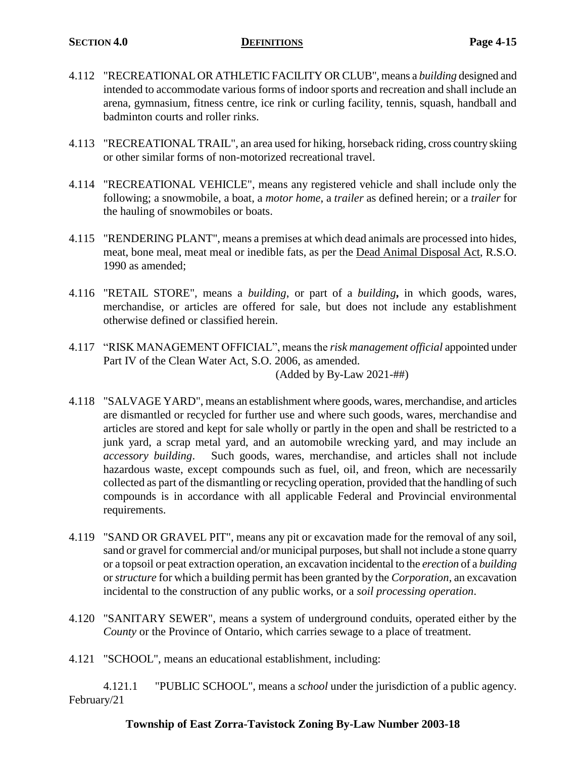- 4.112 "RECREATIONAL OR ATHLETIC FACILITY OR CLUB", means a *building* designed and intended to accommodate various forms of indoor sports and recreation and shall include an arena, gymnasium, fitness centre, ice rink or curling facility, tennis, squash, handball and badminton courts and roller rinks.
- 4.113 "RECREATIONAL TRAIL", an area used for hiking, horseback riding, cross country skiing or other similar forms of non-motorized recreational travel.
- 4.114 "RECREATIONAL VEHICLE", means any registered vehicle and shall include only the following; a snowmobile, a boat, a *motor home*, a *trailer* as defined herein; or a *trailer* for the hauling of snowmobiles or boats.
- 4.115 "RENDERING PLANT", means a premises at which dead animals are processed into hides, meat, bone meal, meat meal or inedible fats, as per the Dead Animal Disposal Act, R.S.O. 1990 as amended;
- 4.116 "RETAIL STORE", means a *building*, or part of a *building***,** in which goods, wares, merchandise, or articles are offered for sale, but does not include any establishment otherwise defined or classified herein.
- 4.117 "RISK MANAGEMENT OFFICIAL", means the *risk management official* appointed under Part IV of the Clean Water Act, S.O. 2006, as amended. (Added by By-Law 2021-##)
- 4.118 "SALVAGE YARD", means an establishment where goods, wares, merchandise, and articles are dismantled or recycled for further use and where such goods, wares, merchandise and articles are stored and kept for sale wholly or partly in the open and shall be restricted to a junk yard, a scrap metal yard, and an automobile wrecking yard, and may include an *accessory building*. Such goods, wares, merchandise, and articles shall not include hazardous waste, except compounds such as fuel, oil, and freon, which are necessarily collected as part of the dismantling or recycling operation, provided that the handling of such compounds is in accordance with all applicable Federal and Provincial environmental requirements.
- 4.119 "SAND OR GRAVEL PIT", means any pit or excavation made for the removal of any soil, sand or gravel for commercial and/or municipal purposes, but shall not include a stone quarry or a topsoil or peat extraction operation, an excavation incidental to the *erection* of a *building* or *structure* for which a building permit has been granted by the *Corporation*, an excavation incidental to the construction of any public works, or a *soil processing operation*.
- 4.120 "SANITARY SEWER", means a system of underground conduits, operated either by the *County* or the Province of Ontario, which carries sewage to a place of treatment.
- 4.121 "SCHOOL", means an educational establishment, including:

4.121.1 "PUBLIC SCHOOL", means a *school* under the jurisdiction of a public agency. February/21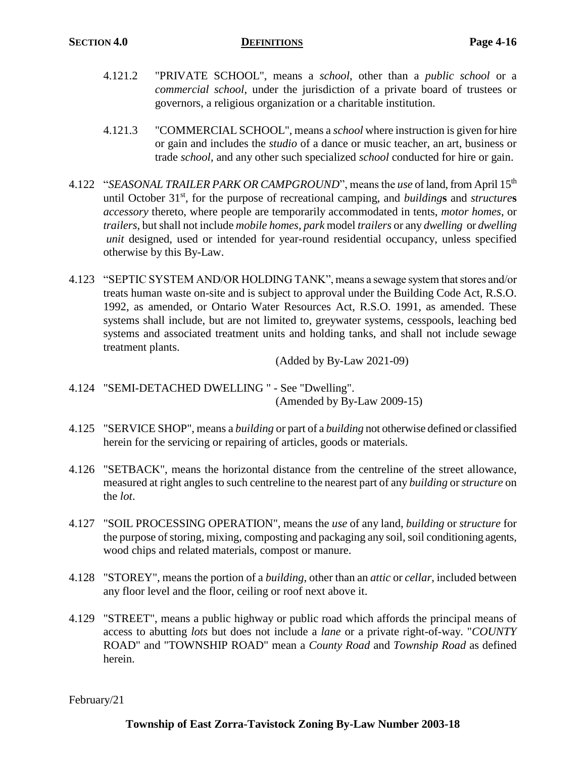- 4.121.2 "PRIVATE SCHOOL", means a *school*, other than a *public school* or a *commercial school*, under the jurisdiction of a private board of trustees or governors, a religious organization or a charitable institution.
- 4.121.3 "COMMERCIAL SCHOOL", means a *school* where instruction is given for hire or gain and includes the *studio* of a dance or music teacher, an art, business or trade *school*, and any other such specialized *school* conducted for hire or gain.
- 4.122 "*SEASONAL TRAILER PARK OR CAMPGROUND*", means the *use* of land, from April 15th until October 31st, for the purpose of recreational camping, and *building***s** and *structure***s** *accessory* thereto, where people are temporarily accommodated in tents, *motor homes*, or *trailers*, but shall not include *mobile homes*, *park* model *trailers* or any *dwelling* or *dwelling unit* designed, used or intended for year-round residential occupancy, unless specified otherwise by this By-Law.
- 4.123 "SEPTIC SYSTEM AND/OR HOLDING TANK", means a sewage system that stores and/or treats human waste on-site and is subject to approval under the Building Code Act, R.S.O. 1992, as amended, or Ontario Water Resources Act, R.S.O. 1991, as amended. These systems shall include, but are not limited to, greywater systems, cesspools, leaching bed systems and associated treatment units and holding tanks, and shall not include sewage treatment plants.

(Added by By-Law 2021-09)

- 4.124 "SEMI-DETACHED DWELLING " See "Dwelling". (Amended by By-Law 2009-15)
- 4.125 "SERVICE SHOP", means a *building* or part of a *building* not otherwise defined or classified herein for the servicing or repairing of articles, goods or materials.
- 4.126 "SETBACK", means the horizontal distance from the centreline of the street allowance, measured at right angles to such centreline to the nearest part of any *building* or *structure* on the *lot*.
- 4.127 "SOIL PROCESSING OPERATION", means the *use* of any land, *building* or *structure* for the purpose of storing, mixing, composting and packaging any soil, soil conditioning agents, wood chips and related materials, compost or manure.
- 4.128 "STOREY", means the portion of a *building*, other than an *attic* or *cellar*, included between any floor level and the floor, ceiling or roof next above it.
- 4.129 "STREET", means a public highway or public road which affords the principal means of access to abutting *lots* but does not include a *lane* or a private right-of-way. "*COUNTY* ROAD" and "TOWNSHIP ROAD" mean a *County Road* and *Township Road* as defined herein.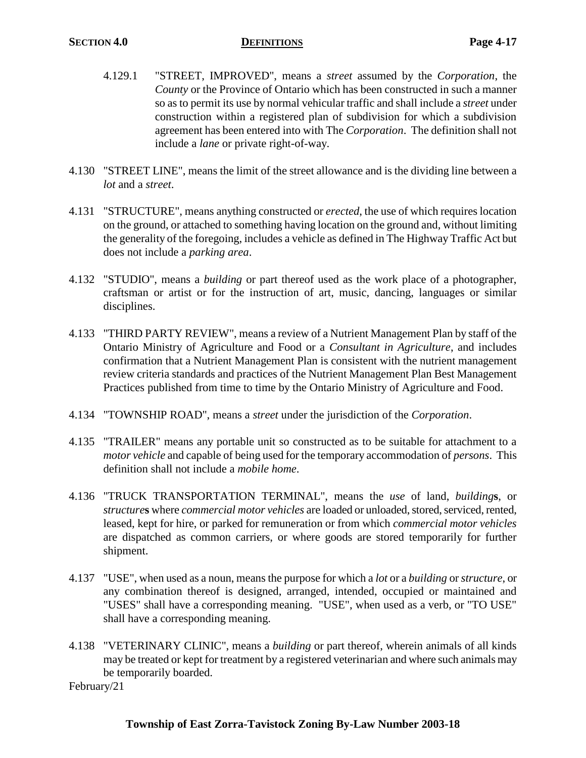- 4.129.1 "STREET, IMPROVED", means a *street* assumed by the *Corporation*, the *County* or the Province of Ontario which has been constructed in such a manner so as to permit its use by normal vehicular traffic and shall include a *street* under construction within a registered plan of subdivision for which a subdivision agreement has been entered into with The *Corporation*. The definition shall not include a *lane* or private right-of-way.
- 4.130 "STREET LINE", means the limit of the street allowance and is the dividing line between a *lot* and a *street*.
- 4.131 "STRUCTURE", means anything constructed or *erected*, the use of which requires location on the ground, or attached to something having location on the ground and, without limiting the generality of the foregoing, includes a vehicle as defined in The Highway Traffic Act but does not include a *parking area*.
- 4.132 "STUDIO", means a *building* or part thereof used as the work place of a photographer, craftsman or artist or for the instruction of art, music, dancing, languages or similar disciplines.
- 4.133 "THIRD PARTY REVIEW", means a review of a Nutrient Management Plan by staff of the Ontario Ministry of Agriculture and Food or a *Consultant in Agriculture*, and includes confirmation that a Nutrient Management Plan is consistent with the nutrient management review criteria standards and practices of the Nutrient Management Plan Best Management Practices published from time to time by the Ontario Ministry of Agriculture and Food.
- 4.134 "TOWNSHIP ROAD", means a *street* under the jurisdiction of the *Corporation*.
- 4.135 "TRAILER" means any portable unit so constructed as to be suitable for attachment to a *motor vehicle* and capable of being used for the temporary accommodation of *persons*. This definition shall not include a *mobile home*.
- 4.136 "TRUCK TRANSPORTATION TERMINAL", means the *use* of land, *building***s**, or *structure***s** where *commercial motor vehicles* are loaded or unloaded, stored, serviced, rented, leased, kept for hire, or parked for remuneration or from which *commercial motor vehicles* are dispatched as common carriers, or where goods are stored temporarily for further shipment.
- 4.137 "USE", when used as a noun, means the purpose for which a *lot* or a *building* or *structure*, or any combination thereof is designed, arranged, intended, occupied or maintained and "USES" shall have a corresponding meaning. "USE", when used as a verb, or "TO USE" shall have a corresponding meaning.
- 4.138 "VETERINARY CLINIC", means a *building* or part thereof, wherein animals of all kinds may be treated or kept for treatment by a registered veterinarian and where such animals may be temporarily boarded.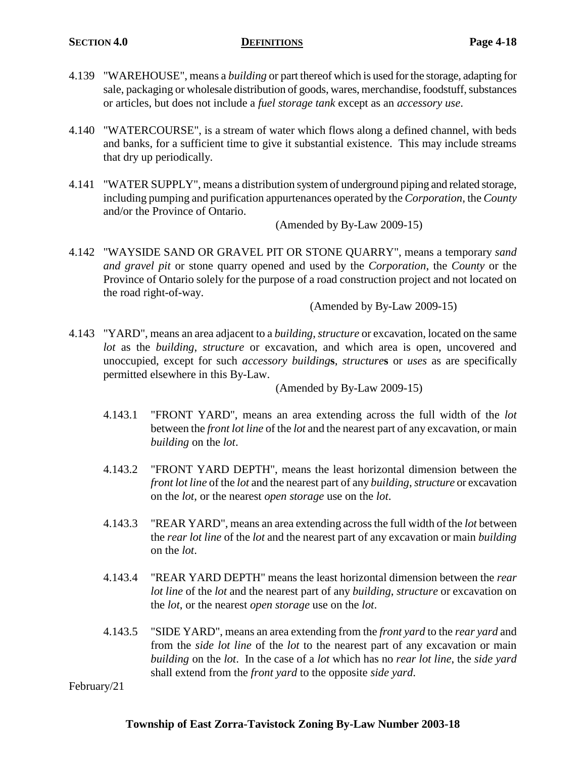- 4.139 "WAREHOUSE", means a *building* or part thereof which is used for the storage, adapting for sale, packaging or wholesale distribution of goods, wares, merchandise, foodstuff, substances or articles, but does not include a *fuel storage tank* except as an *accessory use*.
- 4.140 "WATERCOURSE", is a stream of water which flows along a defined channel, with beds and banks, for a sufficient time to give it substantial existence. This may include streams that dry up periodically.
- 4.141 "WATER SUPPLY", means a distribution system of underground piping and related storage, including pumping and purification appurtenances operated by the *Corporation*, the *County* and/or the Province of Ontario.

(Amended by By-Law 2009-15)

4.142 "WAYSIDE SAND OR GRAVEL PIT OR STONE QUARRY", means a temporary *sand and gravel pit* or stone quarry opened and used by the *Corporation*, the *County* or the Province of Ontario solely for the purpose of a road construction project and not located on the road right-of-way.

(Amended by By-Law 2009-15)

4.143 "YARD", means an area adjacent to a *building*, *structure* or excavation, located on the same *lot* as the *building*, *structure* or excavation, and which area is open, uncovered and unoccupied, except for such *accessory building***s**, *structure***s** or *uses* as are specifically permitted elsewhere in this By-Law.

(Amended by By-Law 2009-15)

- 4.143.1 "FRONT YARD", means an area extending across the full width of the *lot* between the *front lot line* of the *lot* and the nearest part of any excavation, or main *building* on the *lot*.
- 4.143.2 "FRONT YARD DEPTH", means the least horizontal dimension between the *front lot line* of the *lot* and the nearest part of any *building*, *structure* or excavation on the *lot*, or the nearest *open storage* use on the *lot*.
- 4.143.3 "REAR YARD", means an area extending across the full width of the *lot* between the *rear lot line* of the *lot* and the nearest part of any excavation or main *building* on the *lot*.
- 4.143.4 "REAR YARD DEPTH" means the least horizontal dimension between the *rear lot line* of the *lot* and the nearest part of any *building*, *structure* or excavation on the *lot*, or the nearest *open storage* use on the *lot*.
- 4.143.5 "SIDE YARD", means an area extending from the *front yard* to the *rear yard* and from the *side lot line* of the *lot* to the nearest part of any excavation or main *building* on the *lot*. In the case of a *lot* which has no *rear lot line*, the *side yard* shall extend from the *front yard* to the opposite *side yard*.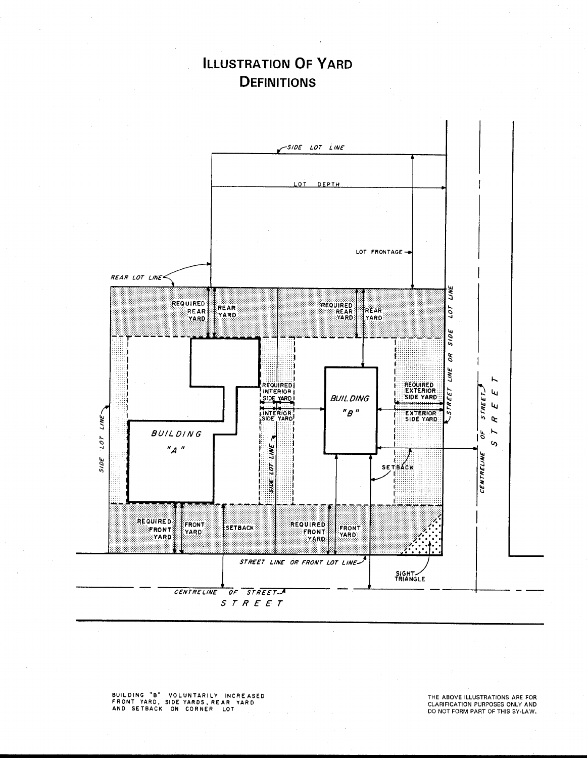## **ILLUSTRATION OF YARD DEFINITIONS**



BUILDING "B" VOLUNTARILY INCREASED<br>FRONT YARD, SIDEYARDS,REAR YARD<br>AND SETBACK ON CORNER LOT

THE ABOVE ILLUSTRATIONS ARE FOR<br>CLARIFICATION PURPOSES ONLY AND<br>DO NOT FORM PART OF THIS BY-LAW.